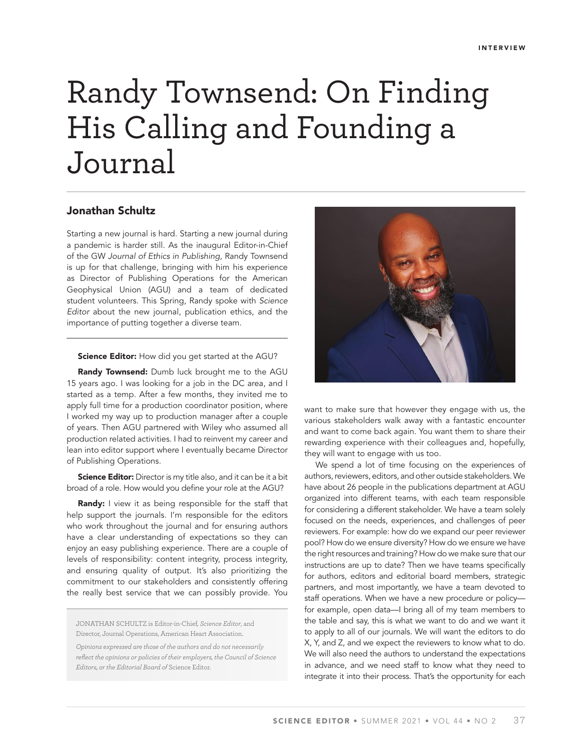# Randy Townsend: On Finding His Calling and Founding a Journal

## Jonathan Schultz

Starting a new journal is hard. Starting a new journal during a pandemic is harder still. As the inaugural Editor-in-Chief of the GW *Journal of Ethics in Publishing*, Randy Townsend is up for that challenge, bringing with him his experience as Director of Publishing Operations for the American Geophysical Union (AGU) and a team of dedicated student volunteers. This Spring, Randy spoke with *Science Editor* about the new journal, publication ethics, and the importance of putting together a diverse team.

#### Science Editor: How did you get started at the AGU?

Randy Townsend: Dumb luck brought me to the AGU 15 years ago. I was looking for a job in the DC area, and I started as a temp. After a few months, they invited me to apply full time for a production coordinator position, where I worked my way up to production manager after a couple of years. Then AGU partnered with Wiley who assumed all production related activities. I had to reinvent my career and lean into editor support where I eventually became Director of Publishing Operations.

**Science Editor:** Director is my title also, and it can be it a bit broad of a role. How would you define your role at the AGU?

Randy: I view it as being responsible for the staff that help support the journals. I'm responsible for the editors who work throughout the journal and for ensuring authors have a clear understanding of expectations so they can enjoy an easy publishing experience. There are a couple of levels of responsibility: content integrity, process integrity, and ensuring quality of output. It's also prioritizing the commitment to our stakeholders and consistently offering the really best service that we can possibly provide. You

JONATHAN SCHULTZ is Editor-in-Chief, *Science Editor*, and Director, Journal Operations, American Heart Association.

*Opinions expressed are those of the authors and do not necessarily reflect the opinions or policies of their employers, the Council of Science Editors, or the Editorial Board of* Science Editor.



want to make sure that however they engage with us, the various stakeholders walk away with a fantastic encounter and want to come back again. You want them to share their rewarding experience with their colleagues and, hopefully, they will want to engage with us too.

We spend a lot of time focusing on the experiences of authors, reviewers, editors, and other outside stakeholders. We have about 26 people in the publications department at AGU organized into different teams, with each team responsible for considering a different stakeholder. We have a team solely focused on the needs, experiences, and challenges of peer reviewers. For example: how do we expand our peer reviewer pool? How do we ensure diversity? How do we ensure we have the right resources and training? How do we make sure that our instructions are up to date? Then we have teams specifically for authors, editors and editorial board members, strategic partners, and most importantly, we have a team devoted to staff operations. When we have a new procedure or policy for example, open data—I bring all of my team members to the table and say, this is what we want to do and we want it to apply to all of our journals. We will want the editors to do X, Y, and Z, and we expect the reviewers to know what to do. We will also need the authors to understand the expectations in advance, and we need staff to know what they need to integrate it into their process. That's the opportunity for each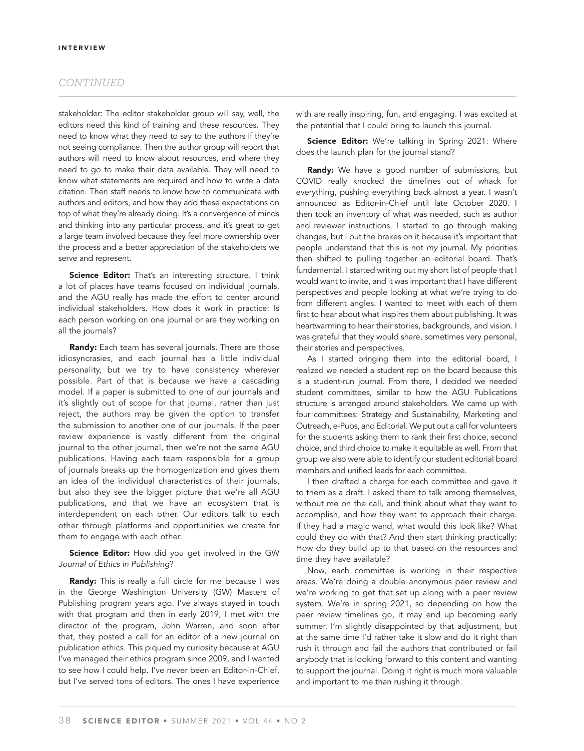## *CONTINUED*

stakeholder: The editor stakeholder group will say, well, the editors need this kind of training and these resources. They need to know what they need to say to the authors if they're not seeing compliance. Then the author group will report that authors will need to know about resources, and where they need to go to make their data available. They will need to know what statements are required and how to write a data citation. Then staff needs to know how to communicate with authors and editors, and how they add these expectations on top of what they're already doing. It's a convergence of minds and thinking into any particular process, and it's great to get a large team involved because they feel more ownership over the process and a better appreciation of the stakeholders we serve and represent.

Science Editor: That's an interesting structure. I think a lot of places have teams focused on individual journals, and the AGU really has made the effort to center around individual stakeholders. How does it work in practice: Is each person working on one journal or are they working on all the journals?

**Randy:** Each team has several journals. There are those idiosyncrasies, and each journal has a little individual personality, but we try to have consistency wherever possible. Part of that is because we have a cascading model. If a paper is submitted to one of our journals and it's slightly out of scope for that journal, rather than just reject, the authors may be given the option to transfer the submission to another one of our journals. If the peer review experience is vastly different from the original journal to the other journal, then we're not the same AGU publications. Having each team responsible for a group of journals breaks up the homogenization and gives them an idea of the individual characteristics of their journals, but also they see the bigger picture that we're all AGU publications, and that we have an ecosystem that is interdependent on each other. Our editors talk to each other through platforms and opportunities we create for them to engage with each other.

Science Editor: How did you get involved in the GW *Journal of Ethics in Publishing*?

Randy: This is really a full circle for me because I was in the George Washington University (GW) Masters of Publishing program years ago. I've always stayed in touch with that program and then in early 2019, I met with the director of the program, John Warren, and soon after that, they posted a call for an editor of a new journal on publication ethics. This piqued my curiosity because at AGU I've managed their ethics program since 2009, and I wanted to see how I could help. I've never been an Editor-in-Chief, but I've served tons of editors. The ones I have experience

with are really inspiring, fun, and engaging. I was excited at the potential that I could bring to launch this journal.

Science Editor: We're talking in Spring 2021: Where does the launch plan for the journal stand?

Randy: We have a good number of submissions, but COVID really knocked the timelines out of whack for everything, pushing everything back almost a year. I wasn't announced as Editor-in-Chief until late October 2020. I then took an inventory of what was needed, such as author and reviewer instructions. I started to go through making changes, but I put the brakes on it because it's important that people understand that this is not *my* journal. My priorities then shifted to pulling together an editorial board. That's fundamental. I started writing out my short list of people that I would want to invite, and it was important that I have different perspectives and people looking at what we're trying to do from different angles. I wanted to meet with each of them first to hear about what inspires them about publishing. It was heartwarming to hear their stories, backgrounds, and vision. I was grateful that they would share, sometimes very personal, their stories and perspectives.

As I started bringing them into the editorial board, I realized we needed a student rep on the board because this is a student-run journal. From there, I decided we needed student committees, similar to how the AGU Publications structure is arranged around stakeholders. We came up with four committees: Strategy and Sustainability, Marketing and Outreach, e-Pubs, and Editorial. We put out a call for volunteers for the students asking them to rank their first choice, second choice, and third choice to make it equitable as well. From that group we also were able to identify our student editorial board members and unified leads for each committee.

I then drafted a charge for each committee and gave it to them as a draft. I asked them to talk among themselves, without me on the call, and think about what they want to accomplish, and how they want to approach their charge. If they had a magic wand, what would this look like? What could they do with that? And then start thinking practically: How do they build up to that based on the resources and time they have available?

Now, each committee is working in their respective areas. We're doing a double anonymous peer review and we're working to get that set up along with a peer review system. We're in spring 2021, so depending on how the peer review timelines go, it may end up becoming early summer. I'm slightly disappointed by that adjustment, but at the same time I'd rather take it slow and do it right than rush it through and fail the authors that contributed or fail anybody that is looking forward to this content and wanting to support the journal. Doing it right is much more valuable and important to me than rushing it through.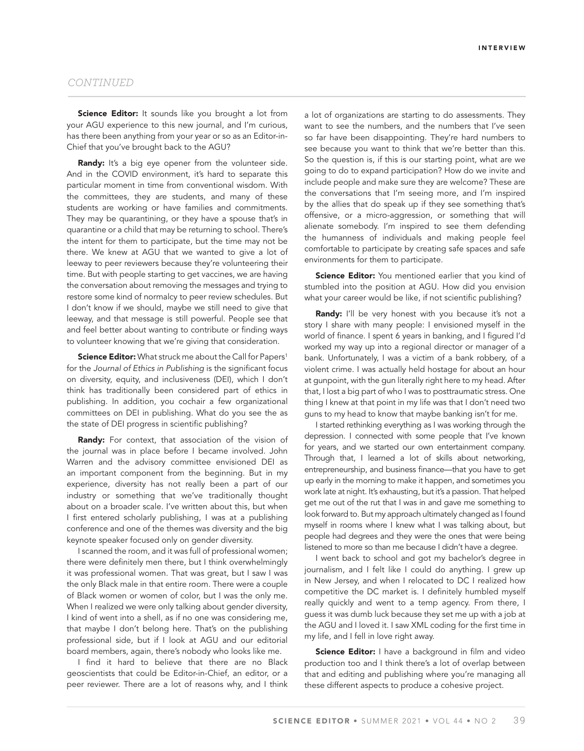### *CONTINUED*

Science Editor: It sounds like you brought a lot from your AGU experience to this new journal, and I'm curious, has there been anything from your year or so as an Editor-in-Chief that you've brought back to the AGU?

Randy: It's a big eye opener from the volunteer side. And in the COVID environment, it's hard to separate this particular moment in time from conventional wisdom. With the committees, they are students, and many of these students are working or have families and commitments. They may be quarantining, or they have a spouse that's in quarantine or a child that may be returning to school. There's the intent for them to participate, but the time may not be there. We knew at AGU that we wanted to give a lot of leeway to peer reviewers because they're volunteering their time. But with people starting to get vaccines, we are having the conversation about removing the messages and trying to restore some kind of normalcy to peer review schedules. But I don't know if we should, maybe we still need to give that leeway, and that message is still powerful. People see that and feel better about wanting to contribute or finding ways to volunteer knowing that we're giving that consideration.

Science Editor: What struck me about the Call for Papers<sup>1</sup> for the *Journal of Ethics in Publishing* is the significant focus on diversity, equity, and inclusiveness (DEI), which I don't think has traditionally been considered part of ethics in publishing. In addition, you cochair a few organizational committees on DEI in publishing. What do you see the as the state of DEI progress in scientific publishing?

Randy: For context, that association of the vision of the journal was in place before I became involved. John Warren and the advisory committee envisioned DEI as an important component from the beginning. But in my experience, diversity has not really been a part of our industry or something that we've traditionally thought about on a broader scale. I've written about this, but when I first entered scholarly publishing, I was at a publishing conference and one of the themes was diversity and the big keynote speaker focused only on gender diversity.

I scanned the room, and it was full of professional women; there were definitely men there, but I think overwhelmingly it was professional women. That was great, but I saw I was the only Black male in that entire room. There were a couple of Black women or women of color, but I was the only me. When I realized we were only talking about gender diversity, I kind of went into a shell, as if no one was considering me, that maybe I don't belong here. That's on the publishing professional side, but if I look at AGU and our editorial board members, again, there's nobody who looks like me.

I find it hard to believe that there are no Black geoscientists that could be Editor-in-Chief, an editor, or a peer reviewer. There are a lot of reasons why, and I think a lot of organizations are starting to do assessments. They want to see the numbers, and the numbers that I've seen so far have been disappointing. They're hard numbers to see because you want to think that we're better than this. So the question is, if this is our starting point, what are we going to do to expand participation? How do we invite and include people and make sure they are welcome? These are the conversations that I'm seeing more, and I'm inspired by the allies that do speak up if they see something that's offensive, or a micro-aggression, or something that will alienate somebody. I'm inspired to see them defending the humanness of individuals and making people feel comfortable to participate by creating safe spaces and safe environments for them to participate.

Science Editor: You mentioned earlier that you kind of stumbled into the position at AGU. How did you envision what your career would be like, if not scientific publishing?

Randy: I'll be very honest with you because it's not a story I share with many people: I envisioned myself in the world of finance. I spent 6 years in banking, and I figured I'd worked my way up into a regional director or manager of a bank. Unfortunately, I was a victim of a bank robbery, of a violent crime. I was actually held hostage for about an hour at gunpoint, with the gun literally right here to my head. After that, I lost a big part of who I was to posttraumatic stress. One thing I knew at that point in my life was that I don't need two guns to my head to know that maybe banking isn't for me.

I started rethinking everything as I was working through the depression. I connected with some people that I've known for years, and we started our own entertainment company. Through that, I learned a lot of skills about networking, entrepreneurship, and business finance—that you have to get up early in the morning to make it happen, and sometimes you work late at night. It's exhausting, but it's a passion. That helped get me out of the rut that I was in and gave me something to look forward to. But my approach ultimately changed as I found myself in rooms where I knew what I was talking about, but people had degrees and they were the ones that were being listened to more so than me because I didn't have a degree.

I went back to school and got my bachelor's degree in journalism, and I felt like I could do anything. I grew up in New Jersey, and when I relocated to DC I realized how competitive the DC market is. I definitely humbled myself really quickly and went to a temp agency. From there, I guess it was dumb luck because they set me up with a job at the AGU and I loved it. I saw XML coding for the first time in my life, and I fell in love right away.

Science Editor: I have a background in film and video production too and I think there's a lot of overlap between that and editing and publishing where you're managing all these different aspects to produce a cohesive project.